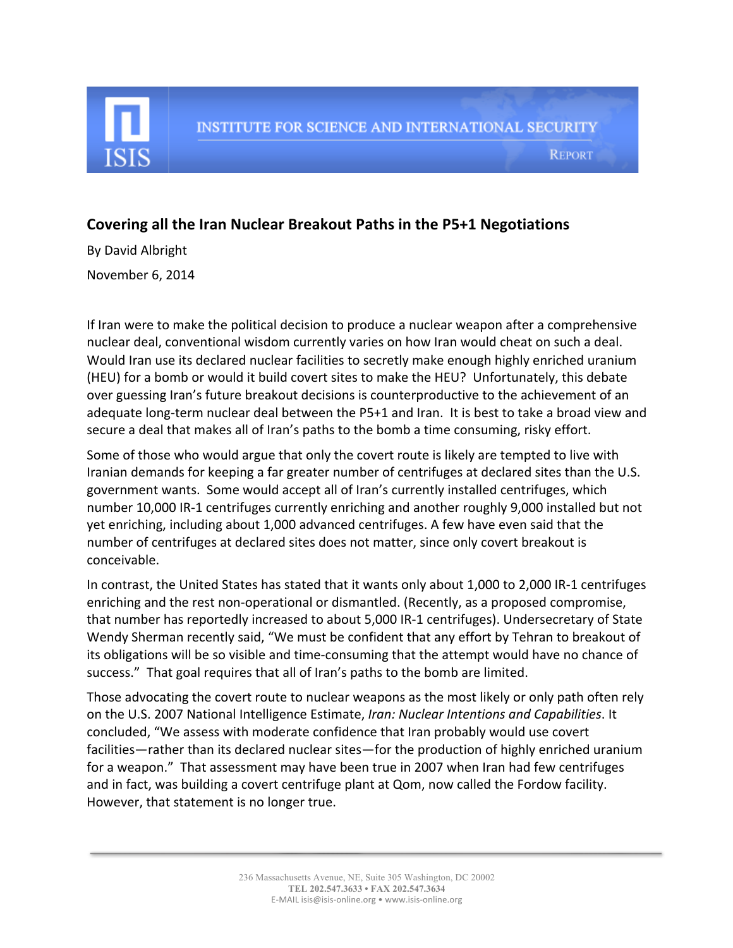

## **Covering all the Iran Nuclear Breakout Paths in the P5+1 Negotiations**

By David Albright November 6, 2014

If Iran were to make the political decision to produce a nuclear weapon after a comprehensive nuclear deal, conventional wisdom currently varies on how Iran would cheat on such a deal. Would Iran use its declared nuclear facilities to secretly make enough highly enriched uranium (HEU) for a bomb or would it build covert sites to make the HEU? Unfortunately, this debate over guessing Iran's future breakout decisions is counterproductive to the achievement of an adequate long-term nuclear deal between the P5+1 and Iran. It is best to take a broad view and secure a deal that makes all of Iran's paths to the bomb a time consuming, risky effort.

Some of those who would argue that only the covert route is likely are tempted to live with Iranian demands for keeping a far greater number of centrifuges at declared sites than the U.S. government wants. Some would accept all of Iran's currently installed centrifuges, which number 10,000 IR-1 centrifuges currently enriching and another roughly 9,000 installed but not yet enriching, including about 1,000 advanced centrifuges. A few have even said that the number of centrifuges at declared sites does not matter, since only covert breakout is conceivable. 

In contrast, the United States has stated that it wants only about 1,000 to 2,000 IR-1 centrifuges enriching and the rest non-operational or dismantled. (Recently, as a proposed compromise, that number has reportedly increased to about 5,000 IR-1 centrifuges). Undersecretary of State Wendy Sherman recently said, "We must be confident that any effort by Tehran to breakout of its obligations will be so visible and time-consuming that the attempt would have no chance of success." That goal requires that all of Iran's paths to the bomb are limited.

Those advocating the covert route to nuclear weapons as the most likely or only path often rely on the U.S. 2007 National Intelligence Estimate, *Iran: Nuclear Intentions and Capabilities*. It concluded, "We assess with moderate confidence that Iran probably would use covert facilities—rather than its declared nuclear sites—for the production of highly enriched uranium for a weapon." That assessment may have been true in 2007 when Iran had few centrifuges and in fact, was building a covert centrifuge plant at Qom, now called the Fordow facility. However, that statement is no longer true.